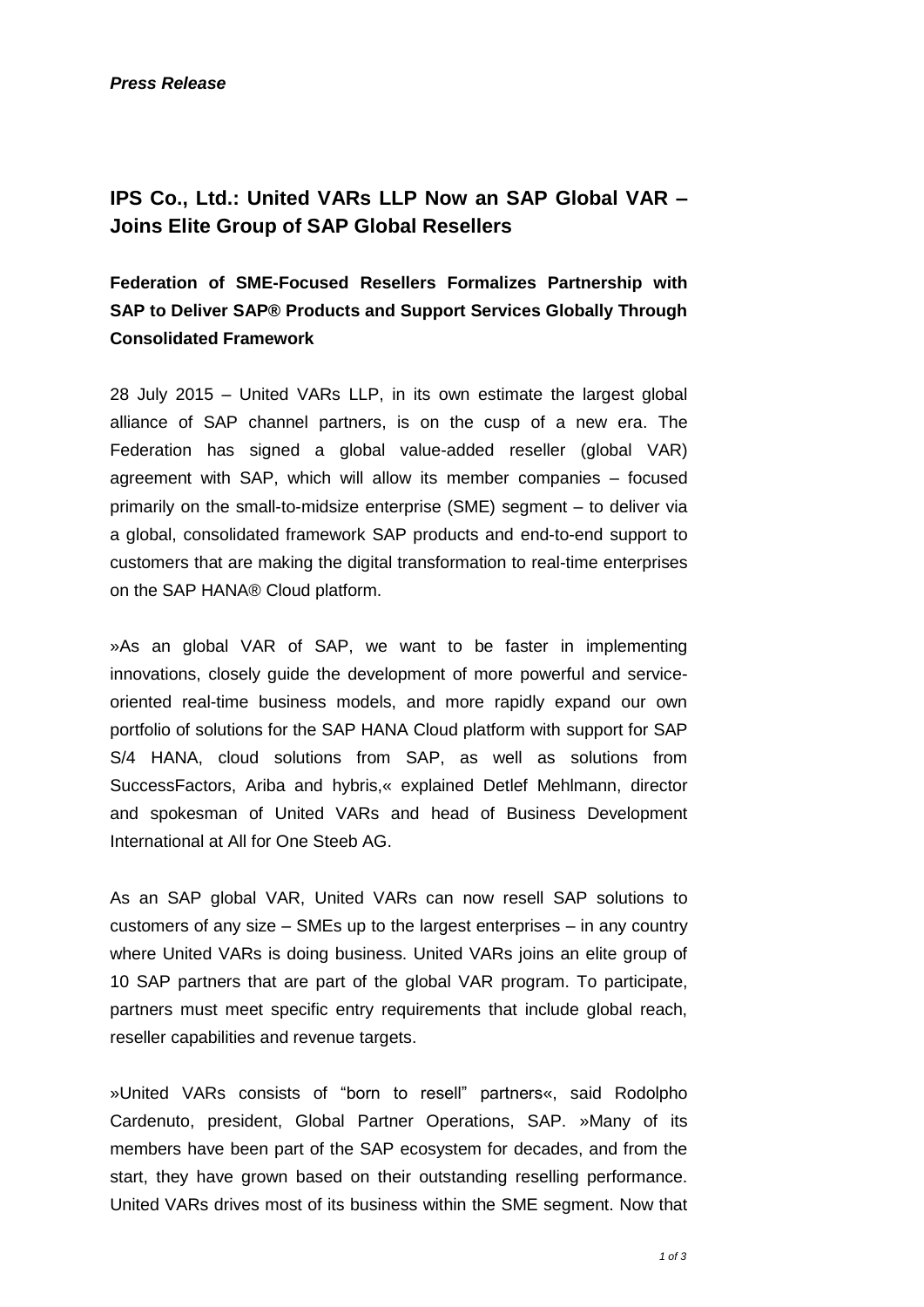*Press Release*

# **IPS Co., Ltd.: United VARs LLP Now an SAP Global VAR – Joins Elite Group of SAP Global Resellers**

**Federation of SME-Focused Resellers Formalizes Partnership with SAP to Deliver SAP® Products and Support Services Globally Through Consolidated Framework**

28 July 2015 – United VARs LLP, in its own estimate the largest global alliance of SAP channel partners, is on the cusp of a new era. The Federation has signed a global value-added reseller (global VAR) agreement with SAP, which will allow its member companies – focused primarily on the small-to-midsize enterprise (SME) segment – to deliver via a global, consolidated framework SAP products and end-to-end support to customers that are making the digital transformation to real-time enterprises on the SAP HANA® Cloud platform.

»As an global VAR of SAP, we want to be faster in implementing innovations, closely guide the development of more powerful and serviceoriented real-time business models, and more rapidly expand our own portfolio of solutions for the SAP HANA Cloud platform with support for SAP S/4 HANA, cloud solutions from SAP, as well as solutions from SuccessFactors, Ariba and hybris,« explained Detlef Mehlmann, director and spokesman of United VARs and head of Business Development International at All for One Steeb AG.

As an SAP global VAR, United VARs can now resell SAP solutions to customers of any size – SMEs up to the largest enterprises – in any country where United VARs is doing business. United VARs joins an elite group of 10 SAP partners that are part of the global VAR program. To participate, partners must meet specific entry requirements that include global reach, reseller capabilities and revenue targets.

»United VARs consists of "born to resell" partners«, said Rodolpho Cardenuto, president, Global Partner Operations, SAP. »Many of its members have been part of the SAP ecosystem for decades, and from the start, they have grown based on their outstanding reselling performance. United VARs drives most of its business within the SME segment. Now that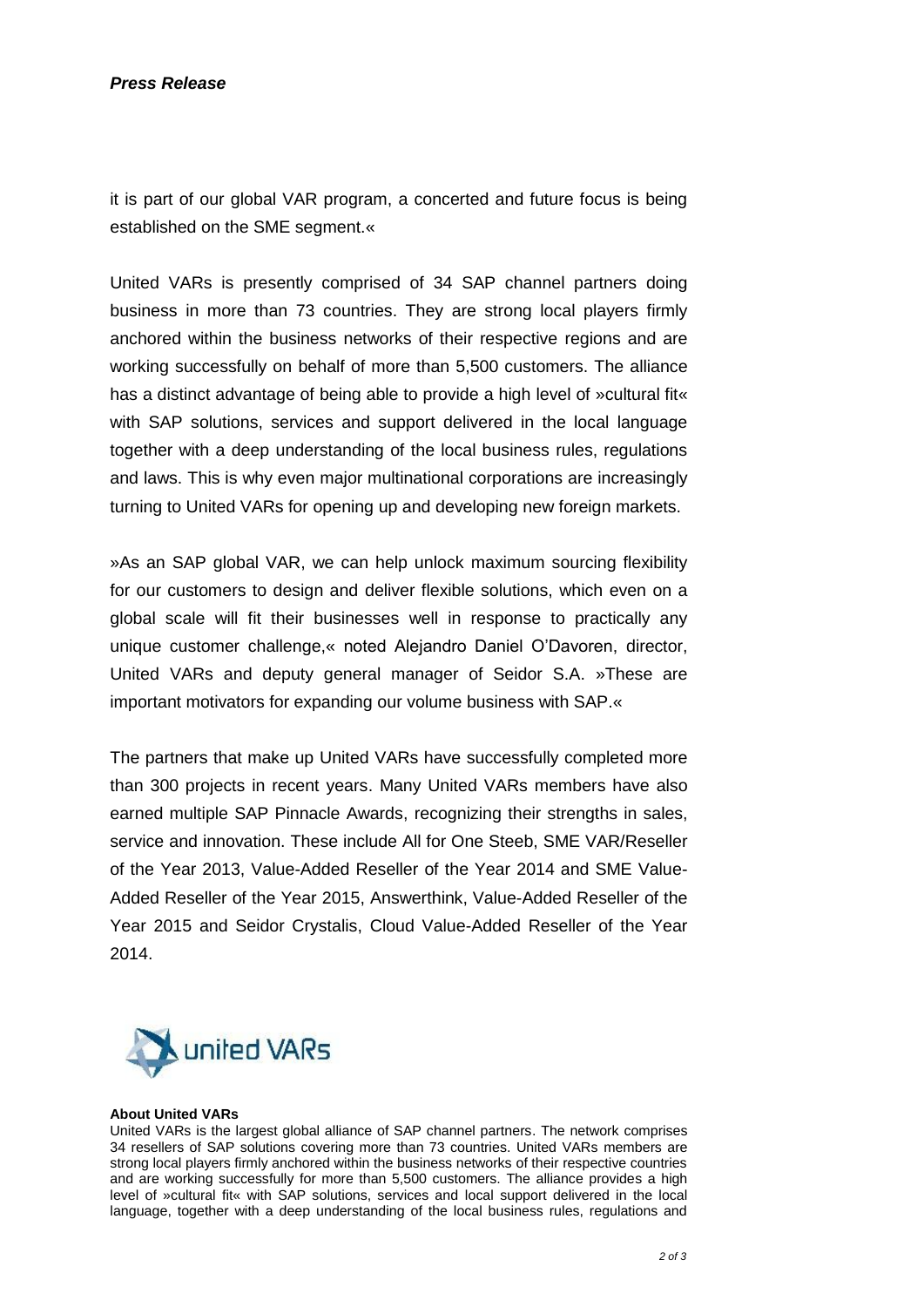# *Press Release*

it is part of our global VAR program, a concerted and future focus is being established on the SME segment.«

United VARs is presently comprised of 34 SAP channel partners doing business in more than 73 countries. They are strong local players firmly anchored within the business networks of their respective regions and are working successfully on behalf of more than 5,500 customers. The alliance has a distinct advantage of being able to provide a high level of »cultural fit« with SAP solutions, services and support delivered in the local language together with a deep understanding of the local business rules, regulations and laws. This is why even major multinational corporations are increasingly turning to United VARs for opening up and developing new foreign markets.

»As an SAP global VAR, we can help unlock maximum sourcing flexibility for our customers to design and deliver flexible solutions, which even on a global scale will fit their businesses well in response to practically any unique customer challenge,« noted Alejandro Daniel O'Davoren, director, United VARs and deputy general manager of Seidor S.A. »These are important motivators for expanding our volume business with SAP.«

The partners that make up United VARs have successfully completed more than 300 projects in recent years. Many United VARs members have also earned multiple SAP Pinnacle Awards, recognizing their strengths in sales, service and innovation. These include All for One Steeb, SME VAR/Reseller of the Year 2013, Value-Added Reseller of the Year 2014 and SME Value-Added Reseller of the Year 2015, Answerthink, Value-Added Reseller of the Year 2015 and Seidor Crystalis, Cloud Value-Added Reseller of the Year 2014.



#### **About United VARs**

United VARs is the largest global alliance of SAP channel partners. The network comprises 34 resellers of SAP solutions covering more than 73 countries. United VARs members are strong local players firmly anchored within the business networks of their respective countries and are working successfully for more than 5,500 customers. The alliance provides a high level of »cultural fit« with SAP solutions, services and local support delivered in the local language, together with a deep understanding of the local business rules, regulations and